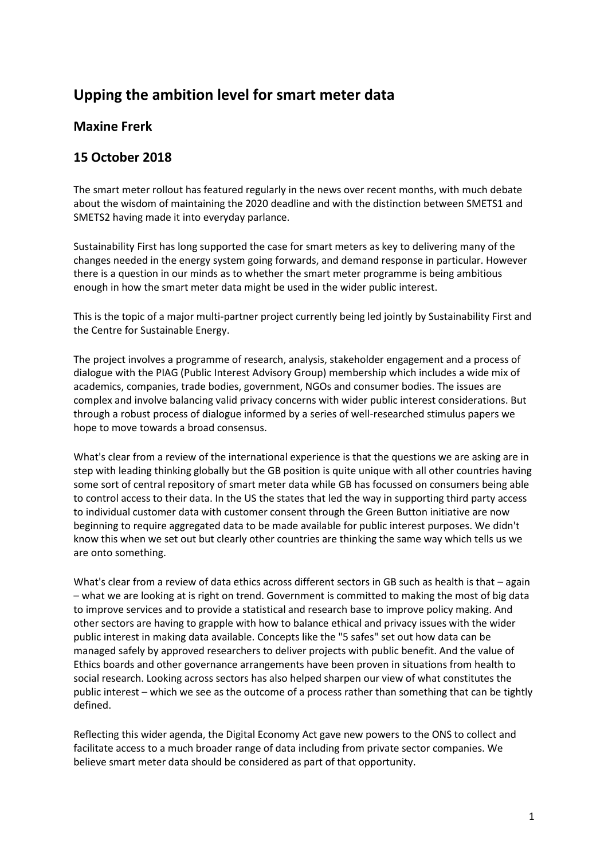## **Upping the ambition level for smart meter data**

## **Maxine Frerk**

## **15 October 2018**

The smart meter rollout has featured regularly in the news over recent months, with much debate about the wisdom of maintaining the 2020 deadline and with the distinction between SMETS1 and SMETS2 having made it into everyday parlance.

Sustainability First has long supported the case for smart meters as key to delivering many of the changes needed in the energy system going forwards, and demand response in particular. However there is a question in our minds as to whether the smart meter programme is being ambitious enough in how the smart meter data might be used in the wider public interest.

This is the topic of a major multi-partner project currently being led jointly by Sustainability First and the Centre for Sustainable Energy.

The project involves a programme of research, analysis, stakeholder engagement and a process of dialogue with the PIAG (Public Interest Advisory Group) membership which includes a wide mix of academics, companies, trade bodies, government, NGOs and consumer bodies. The issues are complex and involve balancing valid privacy concerns with wider public interest considerations. But through a robust process of dialogue informed by a series of well-researched stimulus papers we hope to move towards a broad consensus.

What's clear from a review of the international experience is that the questions we are asking are in step with leading thinking globally but the GB position is quite unique with all other countries having some sort of central repository of smart meter data while GB has focussed on consumers being able to control access to their data. In the US the states that led the way in supporting third party access to individual customer data with customer consent through the Green Button initiative are now beginning to require aggregated data to be made available for public interest purposes. We didn't know this when we set out but clearly other countries are thinking the same way which tells us we are onto something.

What's clear from a review of data ethics across different sectors in GB such as health is that – again – what we are looking at is right on trend. Government is committed to making the most of big data to improve services and to provide a statistical and research base to improve policy making. And other sectors are having to grapple with how to balance ethical and privacy issues with the wider public interest in making data available. Concepts like the "5 safes" set out how data can be managed safely by approved researchers to deliver projects with public benefit. And the value of Ethics boards and other governance arrangements have been proven in situations from health to social research. Looking across sectors has also helped sharpen our view of what constitutes the public interest – which we see as the outcome of a process rather than something that can be tightly defined.

Reflecting this wider agenda, the Digital Economy Act gave new powers to the ONS to collect and facilitate access to a much broader range of data including from private sector companies. We believe smart meter data should be considered as part of that opportunity.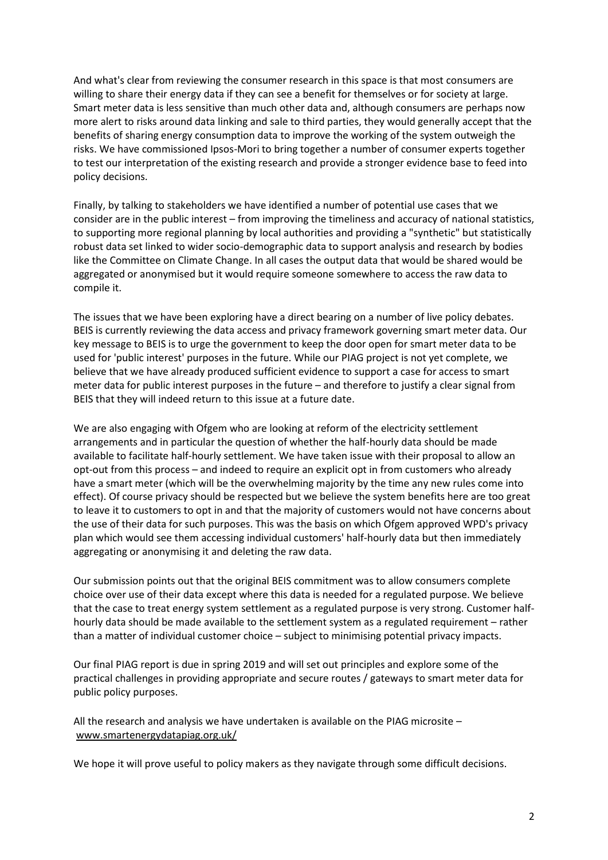And what's clear from reviewing the consumer research in this space is that most consumers are willing to share their energy data if they can see a benefit for themselves or for society at large. Smart meter data is less sensitive than much other data and, although consumers are perhaps now more alert to risks around data linking and sale to third parties, they would generally accept that the benefits of sharing energy consumption data to improve the working of the system outweigh the risks. We have commissioned Ipsos-Mori to bring together a number of consumer experts together to test our interpretation of the existing research and provide a stronger evidence base to feed into policy decisions.

Finally, by talking to stakeholders we have identified a number of potential use cases that we consider are in the public interest – from improving the timeliness and accuracy of national statistics, to supporting more regional planning by local authorities and providing a "synthetic" but statistically robust data set linked to wider socio-demographic data to support analysis and research by bodies like the Committee on Climate Change. In all cases the output data that would be shared would be aggregated or anonymised but it would require someone somewhere to access the raw data to compile it.

The issues that we have been exploring have a direct bearing on a number of live policy debates. BEIS is currently reviewing the data access and privacy framework governing smart meter data. Our key message to BEIS is to urge the government to keep the door open for smart meter data to be used for 'public interest' purposes in the future. While our PIAG project is not yet complete, we believe that we have already produced sufficient evidence to support a case for access to smart meter data for public interest purposes in the future – and therefore to justify a clear signal from BEIS that they will indeed return to this issue at a future date.

We are also engaging with Ofgem who are looking at reform of the electricity settlement arrangements and in particular the question of whether the half-hourly data should be made available to facilitate half-hourly settlement. We have taken issue with their proposal to allow an opt-out from this process – and indeed to require an explicit opt in from customers who already have a smart meter (which will be the overwhelming majority by the time any new rules come into effect). Of course privacy should be respected but we believe the system benefits here are too great to leave it to customers to opt in and that the majority of customers would not have concerns about the use of their data for such purposes. This was the basis on which Ofgem approved WPD's privacy plan which would see them accessing individual customers' half-hourly data but then immediately aggregating or anonymising it and deleting the raw data.

Our submission points out that the original BEIS commitment was to allow consumers complete choice over use of their data except where this data is needed for a regulated purpose. We believe that the case to treat energy system settlement as a regulated purpose is very strong. Customer halfhourly data should be made available to the settlement system as a regulated requirement – rather than a matter of individual customer choice – subject to minimising potential privacy impacts.

Our final PIAG report is due in spring 2019 and will set out principles and explore some of the practical challenges in providing appropriate and secure routes / gateways to smart meter data for public policy purposes.

All the research and analysis we have undertaken is available on the PIAG microsite – [www.smartenergydatapiag.org.uk/](http://www.smartenergydatapiag.org.uk/)

We hope it will prove useful to policy makers as they navigate through some difficult decisions.